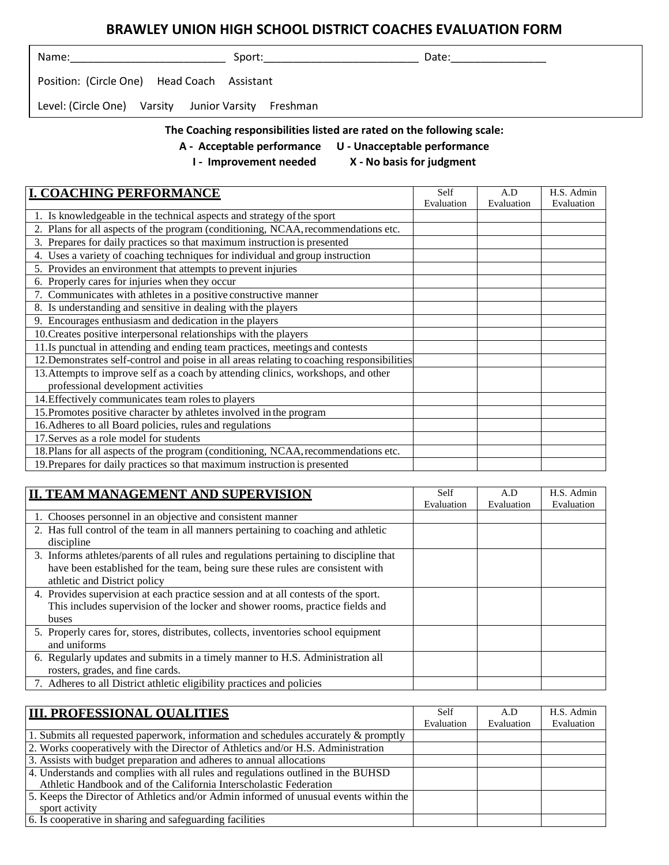## **BRAWLEY UNION HIGH SCHOOL DISTRICT COACHES EVALUATION FORM**

| Name:                                               | Sport: | Date: |  |
|-----------------------------------------------------|--------|-------|--|
| Position: (Circle One) Head Coach Assistant         |        |       |  |
| Level: (Circle One) Varsity Junior Varsity Freshman |        |       |  |
|                                                     |        |       |  |

## **The Coaching responsibilities listed are rated on the following scale:**

- **A - Acceptable performance U - Unacceptable performance**
	-
	- **I - Improvement needed X - No basis for judgment**

| <b>I. COACHING PERFORMANCE</b>                                                             | Self       | A.D        | H.S. Admin |
|--------------------------------------------------------------------------------------------|------------|------------|------------|
|                                                                                            | Evaluation | Evaluation | Evaluation |
| 1. Is knowledgeable in the technical aspects and strategy of the sport                     |            |            |            |
| 2. Plans for all aspects of the program (conditioning, NCAA, recommendations etc.          |            |            |            |
| 3. Prepares for daily practices so that maximum instruction is presented                   |            |            |            |
| Uses a variety of coaching techniques for individual and group instruction<br>4.           |            |            |            |
| 5. Provides an environment that attempts to prevent injuries                               |            |            |            |
| 6. Properly cares for injuries when they occur                                             |            |            |            |
| 7. Communicates with athletes in a positive constructive manner                            |            |            |            |
| 8. Is understanding and sensitive in dealing with the players                              |            |            |            |
| 9. Encourages enthusiasm and dedication in the players                                     |            |            |            |
| 10. Creates positive interpersonal relationships with the players                          |            |            |            |
| 11. Is punctual in attending and ending team practices, meetings and contests              |            |            |            |
| 12. Demonstrates self-control and poise in all areas relating to coaching responsibilities |            |            |            |
| 13. Attempts to improve self as a coach by attending clinics, workshops, and other         |            |            |            |
| professional development activities                                                        |            |            |            |
| 14. Effectively communicates team roles to players                                         |            |            |            |
| 15. Promotes positive character by athletes involved in the program                        |            |            |            |
| 16. Adheres to all Board policies, rules and regulations                                   |            |            |            |
| 17. Serves as a role model for students                                                    |            |            |            |
| 18. Plans for all aspects of the program (conditioning, NCAA, recommendations etc.         |            |            |            |
| 19. Prepares for daily practices so that maximum instruction is presented                  |            |            |            |

| A.D        | H.S. Admin |
|------------|------------|
|            | Evaluation |
|            |            |
|            |            |
|            |            |
|            |            |
|            |            |
|            |            |
|            |            |
|            |            |
|            |            |
|            |            |
|            |            |
|            |            |
|            |            |
|            |            |
| Evaluation | Evaluation |

| <b>III. PROFESSIONAL OUALITIES</b>                                                     | Self       | A.D        | H.S. Admin |
|----------------------------------------------------------------------------------------|------------|------------|------------|
|                                                                                        | Evaluation | Evaluation | Evaluation |
| 1. Submits all requested paperwork, information and schedules accurately $\&$ promptly |            |            |            |
| 2. Works cooperatively with the Director of Athletics and/or H.S. Administration       |            |            |            |
| 3. Assists with budget preparation and adheres to annual allocations                   |            |            |            |
| 4. Understands and complies with all rules and regulations outlined in the BUHSD       |            |            |            |
| Athletic Handbook and of the California Interscholastic Federation                     |            |            |            |
| 5. Keeps the Director of Athletics and/or Admin informed of unusual events within the  |            |            |            |
| sport activity                                                                         |            |            |            |
| 6. Is cooperative in sharing and safeguarding facilities                               |            |            |            |